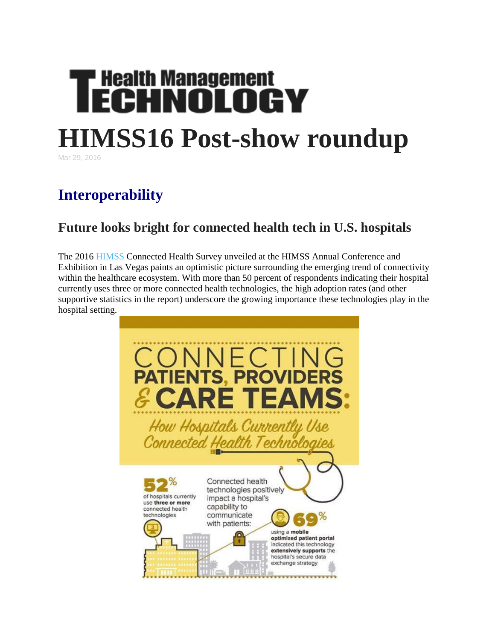# **Health Management<br>ECHNOLOGY HIMSS16 Post-show roundup**

Mar 29, 2016

# **Interoperability**

## **Future looks bright for connected health tech in U.S. hospitals**

The 2016 [HIMSS](http://www.rsleads.com/605ht-221) Connected Health Survey unveiled at the HIMSS Annual Conference and Exhibition in Las Vegas paints an optimistic picture surrounding the emerging trend of connectivity within the healthcare ecosystem. With more than 50 percent of respondents indicating their hospital currently uses three or more connected health technologies, the high adoption rates (and other supportive statistics in the report) underscore the growing importance these technologies play in the hospital setting.

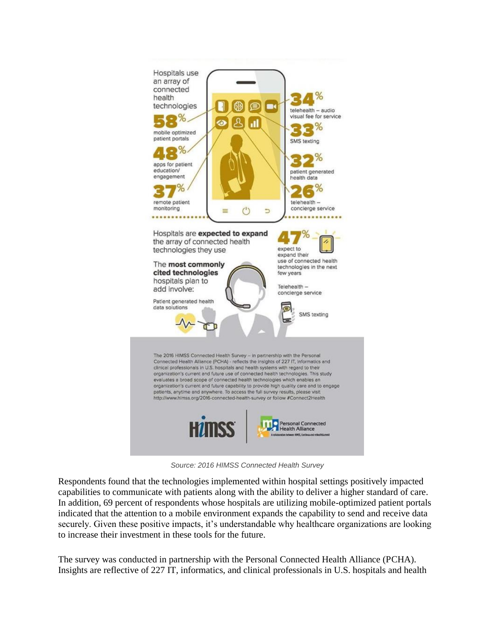

*Source: 2016 HIMSS Connected Health Survey*

Respondents found that the technologies implemented within hospital settings positively impacted capabilities to communicate with patients along with the ability to deliver a higher standard of care. In addition, 69 percent of respondents whose hospitals are utilizing mobile-optimized patient portals indicated that the attention to a mobile environment expands the capability to send and receive data securely. Given these positive impacts, it's understandable why healthcare organizations are looking to increase their investment in these tools for the future.

The survey was conducted in partnership with the Personal Connected Health Alliance (PCHA). Insights are reflective of 227 IT, informatics, and clinical professionals in U.S. hospitals and health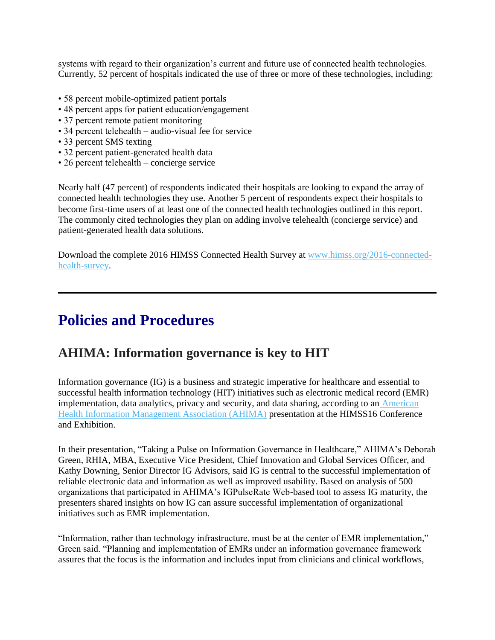systems with regard to their organization's current and future use of connected health technologies. Currently, 52 percent of hospitals indicated the use of three or more of these technologies, including:

- 58 percent mobile-optimized patient portals
- 48 percent apps for patient education/engagement
- 37 percent remote patient monitoring
- 34 percent telehealth audio-visual fee for service
- 33 percent SMS texting
- 32 percent patient-generated health data
- 26 percent telehealth concierge service

Nearly half (47 percent) of respondents indicated their hospitals are looking to expand the array of connected health technologies they use. Another 5 percent of respondents expect their hospitals to become first-time users of at least one of the connected health technologies outlined in this report. The commonly cited technologies they plan on adding involve telehealth (concierge service) and patient-generated health data solutions.

Download the complete 2016 HIMSS Connected Health Survey at [www.himss.org/2016-connected](http://www.himss.org/2016-connected-health-survey)[health-survey.](http://www.himss.org/2016-connected-health-survey)

# **Policies and Procedures**

#### **AHIMA: Information governance is key to HIT**

Information governance (IG) is a business and strategic imperative for healthcare and essential to successful health information technology (HIT) initiatives such as electronic medical record (EMR) implementation, data analytics, privacy and security, and data sharing, according to an [American](http://www.rsleads.com/605ht-222)  [Health Information Management Association \(AHIMA\)](http://www.rsleads.com/605ht-222) presentation at the HIMSS16 Conference and Exhibition.

In their presentation, "Taking a Pulse on Information Governance in Healthcare," AHIMA's Deborah Green, RHIA, MBA, Executive Vice President, Chief Innovation and Global Services Officer, and Kathy Downing, Senior Director IG Advisors, said IG is central to the successful implementation of reliable electronic data and information as well as improved usability. Based on analysis of 500 organizations that participated in AHIMA's IGPulseRate Web-based tool to assess IG maturity, the presenters shared insights on how IG can assure successful implementation of organizational initiatives such as EMR implementation.

"Information, rather than technology infrastructure, must be at the center of EMR implementation," Green said. "Planning and implementation of EMRs under an information governance framework assures that the focus is the information and includes input from clinicians and clinical workflows,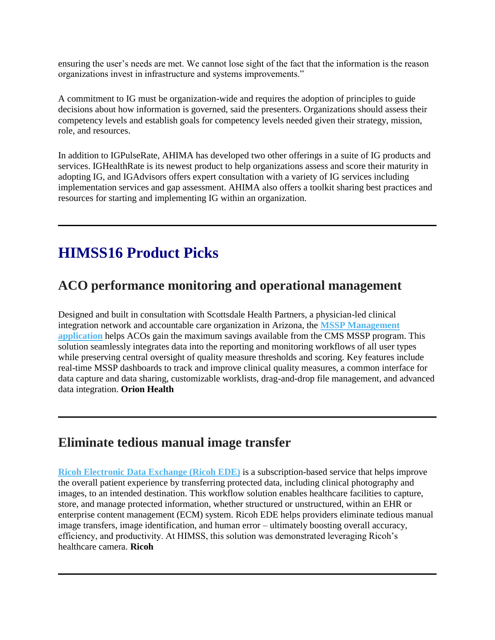ensuring the user's needs are met. We cannot lose sight of the fact that the information is the reason organizations invest in infrastructure and systems improvements."

A commitment to IG must be organization-wide and requires the adoption of principles to guide decisions about how information is governed, said the presenters. Organizations should assess their competency levels and establish goals for competency levels needed given their strategy, mission, role, and resources.

In addition to IGPulseRate, AHIMA has developed two other offerings in a suite of IG products and services. IGHealthRate is its newest product to help organizations assess and score their maturity in adopting IG, and IGAdvisors offers expert consultation with a variety of IG services including implementation services and gap assessment. AHIMA also offers a toolkit sharing best practices and resources for starting and implementing IG within an organization.

# **HIMSS16 Product Picks**

#### **ACO performance monitoring and operational management**

Designed and built in consultation with Scottsdale Health Partners, a physician-led clinical integration network and accountable care organization in Arizona, the **[MSSP Management](http://www.rsleads.com/605ht-180)  [application](http://www.rsleads.com/605ht-180)** helps ACOs gain the maximum savings available from the CMS MSSP program. This solution seamlessly integrates data into the reporting and monitoring workflows of all user types while preserving central oversight of quality measure thresholds and scoring. Key features include real-time MSSP dashboards to track and improve clinical quality measures, a common interface for data capture and data sharing, customizable worklists, drag-and-drop file management, and advanced data integration. **Orion Health**

#### **Eliminate tedious manual image transfer**

**[Ricoh Electronic Data Exchange \(Ricoh EDE\)](http://www.rsleads.com/605ht-181)** is a subscription-based service that helps improve the overall patient experience by transferring protected data, including clinical photography and images, to an intended destination. This workflow solution enables healthcare facilities to capture, store, and manage protected information, whether structured or unstructured, within an EHR or enterprise content management (ECM) system. Ricoh EDE helps providers eliminate tedious manual image transfers, image identification, and human error – ultimately boosting overall accuracy, efficiency, and productivity. At HIMSS, this solution was demonstrated leveraging Ricoh's healthcare camera. **Ricoh**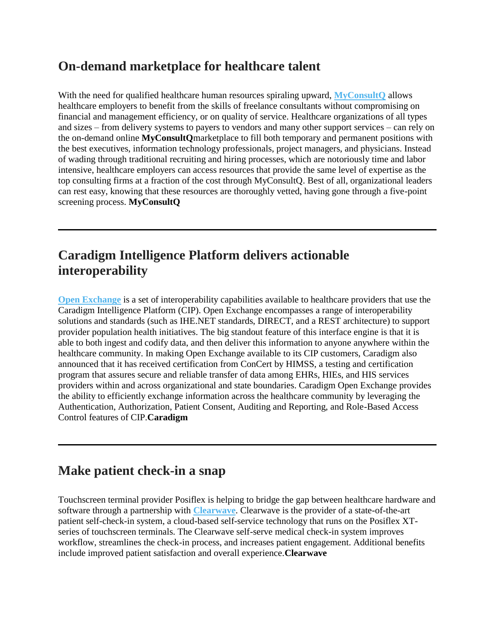## **On-demand marketplace for healthcare talent**

With the need for qualified healthcare human resources spiraling upward, **MyConsultO** allows healthcare employers to benefit from the skills of freelance consultants without compromising on financial and management efficiency, or on quality of service. Healthcare organizations of all types and sizes – from delivery systems to payers to vendors and many other support services – can rely on the on-demand online **MyConsultQ**marketplace to fill both temporary and permanent positions with the best executives, information technology professionals, project managers, and physicians. Instead of wading through traditional recruiting and hiring processes, which are notoriously time and labor intensive, healthcare employers can access resources that provide the same level of expertise as the top consulting firms at a fraction of the cost through MyConsultQ. Best of all, organizational leaders can rest easy, knowing that these resources are thoroughly vetted, having gone through a five-point screening process. **MyConsultQ**

## **Caradigm Intelligence Platform delivers actionable interoperability**

**[Open Exchange](http://www.rsleads.com/605ht-183)** is a set of interoperability capabilities available to healthcare providers that use the Caradigm Intelligence Platform (CIP). Open Exchange encompasses a range of interoperability solutions and standards (such as IHE.NET standards, DIRECT, and a REST architecture) to support provider population health initiatives. The big standout feature of this interface engine is that it is able to both ingest and codify data, and then deliver this information to anyone anywhere within the healthcare community. In making Open Exchange available to its CIP customers, Caradigm also announced that it has received certification from ConCert by HIMSS, a testing and certification program that assures secure and reliable transfer of data among EHRs, HIEs, and HIS services providers within and across organizational and state boundaries. Caradigm Open Exchange provides the ability to efficiently exchange information across the healthcare community by leveraging the Authentication, Authorization, Patient Consent, Auditing and Reporting, and Role-Based Access Control features of CIP.**Caradigm**

#### **Make patient check-in a snap**

Touchscreen terminal provider Posiflex is helping to bridge the gap between healthcare hardware and software through a partnership with **[Clearwave](http://www.rsleads.com/605ht-184)**. Clearwave is the provider of a state-of-the-art patient self-check-in system, a cloud-based self-service technology that runs on the Posiflex XTseries of touchscreen terminals. The Clearwave self-serve medical check-in system improves workflow, streamlines the check-in process, and increases patient engagement. Additional benefits include improved patient satisfaction and overall experience.**Clearwave**